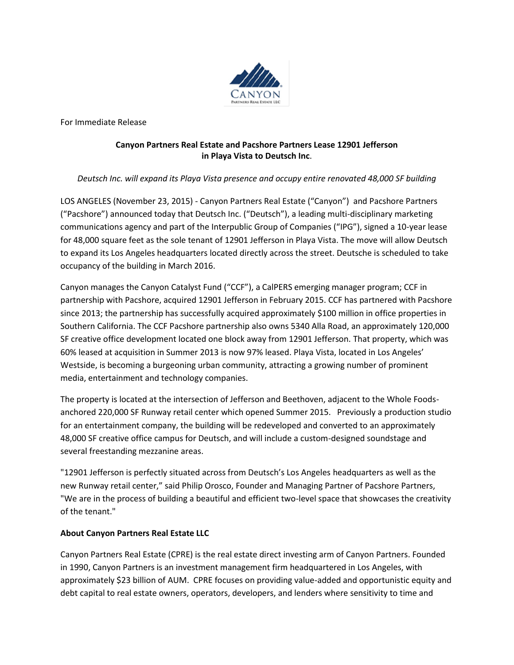

For Immediate Release

## **Canyon Partners Real Estate and Pacshore Partners Lease 12901 Jefferson in Playa Vista to Deutsch Inc**.

## *Deutsch Inc. will expand its Playa Vista presence and occupy entire renovated 48,000 SF building*

LOS ANGELES (November 23, 2015) - Canyon Partners Real Estate ("Canyon") and Pacshore Partners ("Pacshore") announced today that Deutsch Inc. ("Deutsch"), a leading multi-disciplinary marketing communications agency and part of the Interpublic Group of Companies ("IPG"), signed a 10-year lease for 48,000 square feet as the sole tenant of 12901 Jefferson in Playa Vista. The move will allow Deutsch to expand its Los Angeles headquarters located directly across the street. Deutsche is scheduled to take occupancy of the building in March 2016.

Canyon manages the Canyon Catalyst Fund ("CCF"), a CalPERS emerging manager program; CCF in partnership with Pacshore, acquired 12901 Jefferson in February 2015. CCF has partnered with Pacshore since 2013; the partnership has successfully acquired approximately \$100 million in office properties in Southern California. The CCF Pacshore partnership also owns 5340 Alla Road, an approximately 120,000 SF creative office development located one block away from 12901 Jefferson. That property, which was 60% leased at acquisition in Summer 2013 is now 97% leased. Playa Vista, located in Los Angeles' Westside, is becoming a burgeoning urban community, attracting a growing number of prominent media, entertainment and technology companies.

The property is located at the intersection of Jefferson and Beethoven, adjacent to the Whole Foodsanchored 220,000 SF Runway retail center which opened Summer 2015. Previously a production studio for an entertainment company, the building will be redeveloped and converted to an approximately 48,000 SF creative office campus for Deutsch, and will include a custom-designed soundstage and several freestanding mezzanine areas.

"12901 Jefferson is perfectly situated across from Deutsch's Los Angeles headquarters as well as the new Runway retail center," said Philip Orosco, Founder and Managing Partner of Pacshore Partners, "We are in the process of building a beautiful and efficient two-level space that showcases the creativity of the tenant."

## **About Canyon Partners Real Estate LLC**

Canyon Partners Real Estate (CPRE) is the real estate direct investing arm of Canyon Partners. Founded in 1990, Canyon Partners is an investment management firm headquartered in Los Angeles, with approximately \$23 billion of AUM. CPRE focuses on providing value-added and opportunistic equity and debt capital to real estate owners, operators, developers, and lenders where sensitivity to time and